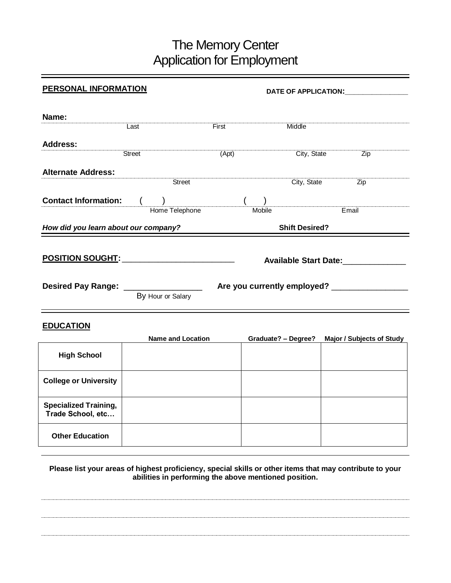## The Memory Center Application for Employment

| <b>PERSONAL INFORMATION</b>                         |        |                          | DATE OF APPLICATION: UNITED ACTIONS |                       |                     |                                     |  |
|-----------------------------------------------------|--------|--------------------------|-------------------------------------|-----------------------|---------------------|-------------------------------------|--|
|                                                     |        |                          |                                     |                       |                     |                                     |  |
| Name:                                               |        |                          |                                     |                       |                     |                                     |  |
|                                                     | Last   |                          | First                               |                       | Middle              |                                     |  |
| <b>Address:</b>                                     |        |                          |                                     |                       |                     |                                     |  |
|                                                     | Street |                          | (Apt)                               |                       |                     | City, State<br>$\overline{Zip}$     |  |
| <b>Alternate Address:</b>                           |        |                          |                                     |                       |                     |                                     |  |
|                                                     |        | $T$ Street               |                                     |                       | City, State         | Zip                                 |  |
| <b>Contact Information:</b>                         |        | )<br>Home Telephone      |                                     |                       |                     |                                     |  |
|                                                     |        |                          |                                     | Mobile                |                     | Email                               |  |
| How did you learn about our company?                |        |                          |                                     | <b>Shift Desired?</b> |                     |                                     |  |
|                                                     |        |                          |                                     |                       |                     |                                     |  |
| <u>POSITION SOUGHT:____________________________</u> |        |                          |                                     |                       |                     | Available Start Date:______________ |  |
|                                                     |        |                          |                                     |                       |                     |                                     |  |
|                                                     |        | By Hour or Salary        |                                     |                       |                     |                                     |  |
| <b>EDUCATION</b>                                    |        |                          |                                     |                       |                     |                                     |  |
|                                                     |        | <b>Name and Location</b> |                                     |                       | Graduate? - Degree? | <b>Major / Subjects of Study</b>    |  |
| <b>High School</b>                                  |        |                          |                                     |                       |                     |                                     |  |
| <b>College or University</b>                        |        |                          |                                     |                       |                     |                                     |  |
| <b>Specialized Training,</b><br>Trade School, etc   |        |                          |                                     |                       |                     |                                     |  |

**Please list your areas of highest proficiency, special skills or other items that may contribute to your abilities in performing the above mentioned position.**

**Other Education**